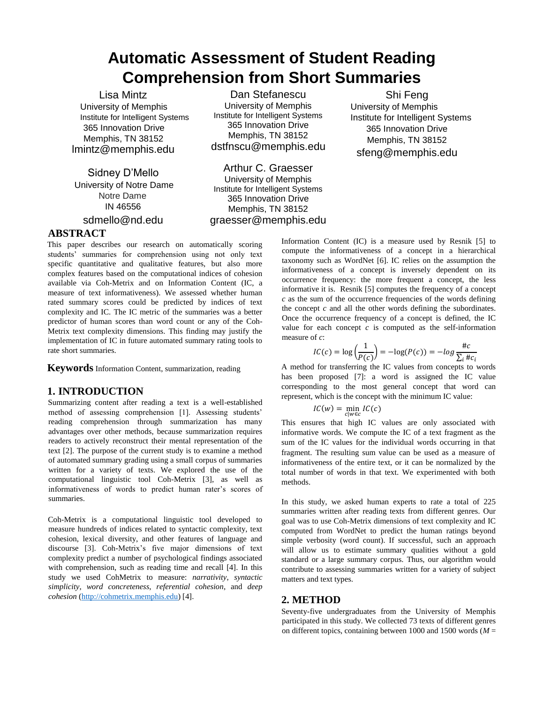# **Automatic Assessment of Student Reading Comprehension from Short Summaries**

Lisa Mintz University of Memphis Institute for Intelligent Systems 365 Innovation Drive Memphis, TN 38152 lmintz@memphis.edu

Sidney D'Mello University of Notre Dame Notre Dame IN 46556

sdmello@nd.edu

Dan Stefanescu University of Memphis Institute for Intelligent Systems 365 Innovation Drive Memphis, TN 38152 dstfnscu@memphis.edu

Arthur C. Graesser University of Memphis Institute for Intelligent Systems 365 Innovation Drive Memphis, TN 38152 graesser@memphis.edu

Shi Feng University of Memphis Institute for Intelligent Systems 365 Innovation Drive Memphis, TN 38152 sfeng@memphis.edu

## **ABSTRACT**

This paper describes our research on automatically scoring students' summaries for comprehension using not only text specific quantitative and qualitative features, but also more complex features based on the computational indices of cohesion available via Coh-Metrix and on Information Content (IC, a measure of text informativeness). We assessed whether human rated summary scores could be predicted by indices of text complexity and IC. The IC metric of the summaries was a better predictor of human scores than word count or any of the Coh-Metrix text complexity dimensions. This finding may justify the implementation of IC in future automated summary rating tools to rate short summaries.

**Keywords** Information Content, summarization, reading

## **1. INTRODUCTION**

Summarizing content after reading a text is a well-established method of assessing comprehension [1]. Assessing students' reading comprehension through summarization has many advantages over other methods, because summarization requires readers to actively reconstruct their mental representation of the text [2]. The purpose of the current study is to examine a method of automated summary grading using a small corpus of summaries written for a variety of texts. We explored the use of the computational linguistic tool Coh-Metrix [3], as well as informativeness of words to predict human rater's scores of summaries.

Coh-Metrix is a computational linguistic tool developed to measure hundreds of indices related to syntactic complexity, text cohesion, lexical diversity, and other features of language and discourse [3]. Coh-Metrix's five major dimensions of text complexity predict a number of psychological findings associated with comprehension, such as reading time and recall [4]. In this study we used CohMetrix to measure: *narrativity*, *syntactic simplicity*, *word concreteness*, *referential cohesion*, and *deep cohesion* [\(h](http://cohmetrix.memphis.edu/)ttp://cohmetrix.memphis.ed[u\)](http://cohmetrix.memphis.edu/) [4].

Information Content (IC) is a measure used by Resnik [5] to compute the informativeness of a concept in a hierarchical taxonomy such as WordNet [6]. IC relies on the assumption the informativeness of a concept is inversely dependent on its occurrence frequency: the more frequent a concept, the less informative it is. Resnik [5] computes the frequency of a concept *c* as the sum of the occurrence frequencies of the words defining the concept *c* and all the other words defining the subordinates. Once the occurrence frequency of a concept is defined, the IC value for each concept  $c$  is computed as the self-information measure of *c*:

$$
IC(c) = \log\left(\frac{1}{P(c)}\right) = -\log(P(c)) = -\log\frac{\#c}{\sum_{i} \#c_{i}}
$$

A method for transferring the IC values from concepts to words has been proposed [7]: a word is assigned the IC value corresponding to the most general concept that word can represent, which is the concept with the minimum IC value:

$$
IC(w) = \min_{c|w \in c} IC(c)
$$

This ensures that high IC values are only associated with informative words. We compute the IC of a text fragment as the sum of the IC values for the individual words occurring in that fragment. The resulting sum value can be used as a measure of informativeness of the entire text, or it can be normalized by the total number of words in that text. We experimented with both methods.

In this study, we asked human experts to rate a total of 225 summaries written after reading texts from different genres. Our goal was to use Coh-Metrix dimensions of text complexity and IC computed from WordNet to predict the human ratings beyond simple verbosity (word count). If successful, such an approach will allow us to estimate summary qualities without a gold standard or a large summary corpus. Thus, our algorithm would contribute to assessing summaries written for a variety of subject matters and text types.

## **2. METHOD**

Seventy-five undergraduates from the University of Memphis participated in this study. We collected 73 texts of different genres on different topics, containing between 1000 and 1500 words (*M* =